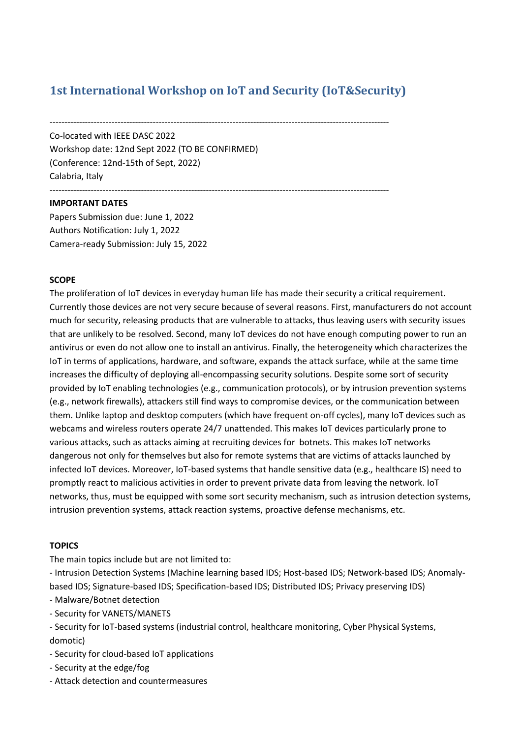# **1st International Workshop on IoT and Security (IoT&Security)**

-------------------------------------------------------------------------------------------------------------------

------------------------------------------------------------------------------------------------------------------- Co-located with IEEE DASC 2022 Workshop date: 12nd Sept 2022 (TO BE CONFIRMED) (Conference: 12nd-15th of Sept, 2022) Calabria, Italy

## **IMPORTANT DATES**

Papers Submission due: June 1, 2022 Authors Notification: July 1, 2022 Camera-ready Submission: July 15, 2022

### **SCOPE**

The proliferation of IoT devices in everyday human life has made their security a critical requirement. Currently those devices are not very secure because of several reasons. First, manufacturers do not account much for security, releasing products that are vulnerable to attacks, thus leaving users with security issues that are unlikely to be resolved. Second, many IoT devices do not have enough computing power to run an antivirus or even do not allow one to install an antivirus. Finally, the heterogeneity which characterizes the IoT in terms of applications, hardware, and software, expands the attack surface, while at the same time increases the difficulty of deploying all-encompassing security solutions. Despite some sort of security provided by IoT enabling technologies (e.g., communication protocols), or by intrusion prevention systems (e.g., network firewalls), attackers still find ways to compromise devices, or the communication between them. Unlike laptop and desktop computers (which have frequent on-off cycles), many IoT devices such as webcams and wireless routers operate 24/7 unattended. This makes IoT devices particularly prone to various attacks, such as attacks aiming at recruiting devices for botnets. This makes IoT networks dangerous not only for themselves but also for remote systems that are victims of attacks launched by infected IoT devices. Moreover, IoT-based systems that handle sensitive data (e.g., healthcare IS) need to promptly react to malicious activities in order to prevent private data from leaving the network. IoT networks, thus, must be equipped with some sort security mechanism, such as intrusion detection systems, intrusion prevention systems, attack reaction systems, proactive defense mechanisms, etc.

## **TOPICS**

The main topics include but are not limited to:

- Intrusion Detection Systems (Machine learning based IDS; Host-based IDS; Network-based IDS; Anomalybased IDS; Signature-based IDS; Specification-based IDS; Distributed IDS; Privacy preserving IDS)

- Malware/Botnet detection

- Security for VANETS/MANETS

- Security for IoT-based systems (industrial control, healthcare monitoring, Cyber Physical Systems, domotic)
- Security for cloud-based IoT applications
- Security at the edge/fog
- Attack detection and countermeasures